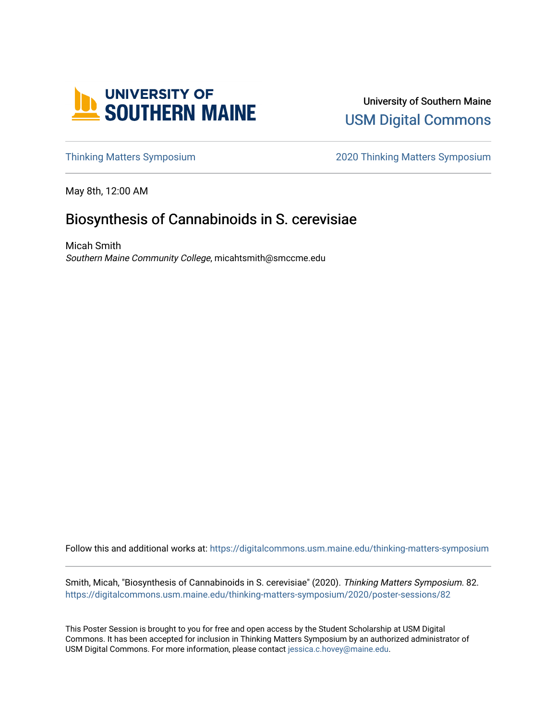

University of Southern Maine [USM Digital Commons](https://digitalcommons.usm.maine.edu/) 

[Thinking Matters Symposium](https://digitalcommons.usm.maine.edu/thinking-matters-symposium) [2020 Thinking Matters Symposium](https://digitalcommons.usm.maine.edu/thinking-matters-symposium/2020) 

May 8th, 12:00 AM

## Biosynthesis of Cannabinoids in S. cerevisiae

Micah Smith Southern Maine Community College, micahtsmith@smccme.edu

Follow this and additional works at: [https://digitalcommons.usm.maine.edu/thinking-matters-symposium](https://digitalcommons.usm.maine.edu/thinking-matters-symposium?utm_source=digitalcommons.usm.maine.edu%2Fthinking-matters-symposium%2F2020%2Fposter-sessions%2F82&utm_medium=PDF&utm_campaign=PDFCoverPages) 

Smith, Micah, "Biosynthesis of Cannabinoids in S. cerevisiae" (2020). Thinking Matters Symposium. 82. [https://digitalcommons.usm.maine.edu/thinking-matters-symposium/2020/poster-sessions/82](https://digitalcommons.usm.maine.edu/thinking-matters-symposium/2020/poster-sessions/82?utm_source=digitalcommons.usm.maine.edu%2Fthinking-matters-symposium%2F2020%2Fposter-sessions%2F82&utm_medium=PDF&utm_campaign=PDFCoverPages) 

This Poster Session is brought to you for free and open access by the Student Scholarship at USM Digital Commons. It has been accepted for inclusion in Thinking Matters Symposium by an authorized administrator of USM Digital Commons. For more information, please contact [jessica.c.hovey@maine.edu](mailto:ian.fowler@maine.edu).